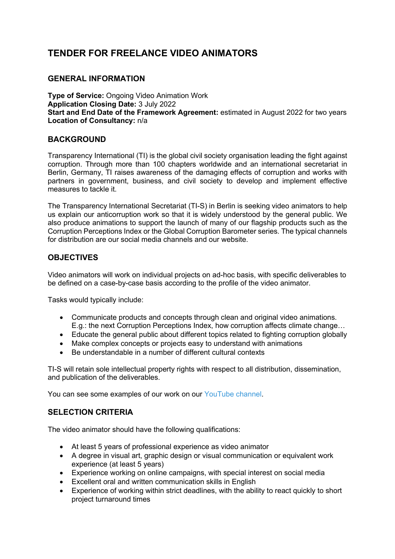# **TENDER FOR FREELANCE VIDEO ANIMATORS**

## **GENERAL INFORMATION**

**Type of Service:** Ongoing Video Animation Work **Application Closing Date:** 3 July 2022 **Start and End Date of the Framework Agreement:** estimated in August 2022 for two years **Location of Consultancy:** n/a

#### **BACKGROUND**

Transparency International (TI) is the global civil society organisation leading the fight against corruption. Through more than 100 chapters worldwide and an international secretariat in Berlin, Germany, TI raises awareness of the damaging effects of corruption and works with partners in government, business, and civil society to develop and implement effective measures to tackle it.

The Transparency International Secretariat (TI-S) in Berlin is seeking video animators to help us explain our anticorruption work so that it is widely understood by the general public. We also produce animations to support the launch of many of our flagship products such as the Corruption Perceptions Index or the Global Corruption Barometer series. The typical channels for distribution are our social media channels and our website.

## **OBJECTIVES**

Video animators will work on individual projects on ad-hoc basis, with specific deliverables to be defined on a case-by-case basis according to the profile of the video animator.

Tasks would typically include:

- Communicate products and concepts through clean and original video animations. E.g.: the next Corruption Perceptions Index, how corruption affects climate change…
- Educate the general public about different topics related to fighting corruption globally
- Make complex concepts or projects easy to understand with animations
- Be understandable in a number of different cultural contexts

TI-S will retain sole intellectual property rights with respect to all distribution, dissemination, and publication of the deliverables.

You can see some examples of our work on our YouTube channel.

## **SELECTION CRITERIA**

The video animator should have the following qualifications:

- At least 5 years of professional experience as video animator
- A degree in visual art, graphic design or visual communication or equivalent work experience (at least 5 years)
- Experience working on online campaigns, with special interest on social media
- Excellent oral and written communication skills in English
- Experience of working within strict deadlines, with the ability to react quickly to short project turnaround times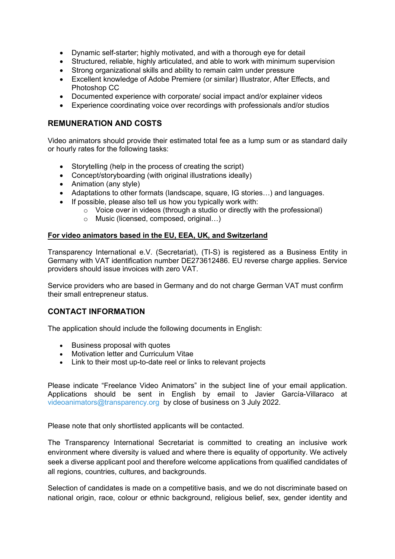- Dynamic self-starter; highly motivated, and with a thorough eye for detail
- Structured, reliable, highly articulated, and able to work with minimum supervision
- Strong organizational skills and ability to remain calm under pressure
- Excellent knowledge of Adobe Premiere (or similar) Illustrator, After Effects, and Photoshop CC
- Documented experience with corporate/ social impact and/or explainer videos
- Experience coordinating voice over recordings with professionals and/or studios

# **REMUNERATION AND COSTS**

Video animators should provide their estimated total fee as a lump sum or as standard daily or hourly rates for the following tasks:

- Storytelling (help in the process of creating the script)
- Concept/storyboarding (with original illustrations ideally)
- Animation (any style)
- Adaptations to other formats (landscape, square, IG stories…) and languages.
- If possible, please also tell us how you typically work with:
	- $\circ$  Voice over in videos (through a studio or directly with the professional)
	- o Music (licensed, composed, original…)

#### **For video animators based in the EU, EEA, UK, and Switzerland**

Transparency International e.V. (Secretariat), (TI-S) is registered as a Business Entity in Germany with VAT identification number DE273612486. EU reverse charge applies. Service providers should issue invoices with zero VAT.

Service providers who are based in Germany and do not charge German VAT must confirm their small entrepreneur status.

## **CONTACT INFORMATION**

The application should include the following documents in English:

- Business proposal with quotes
- Motivation letter and Curriculum Vitae
- Link to their most up-to-date reel or links to relevant projects

Please indicate "Freelance Video Animators" in the subject line of your email application. Applications should be sent in English by email to Javier García-Villaraco at videoanimators@transparency.org by close of business on 3 July 2022.

Please note that only shortlisted applicants will be contacted.

The Transparency International Secretariat is committed to creating an inclusive work environment where diversity is valued and where there is equality of opportunity. We actively seek a diverse applicant pool and therefore welcome applications from qualified candidates of all regions, countries, cultures, and backgrounds.

Selection of candidates is made on a competitive basis, and we do not discriminate based on national origin, race, colour or ethnic background, religious belief, sex, gender identity and